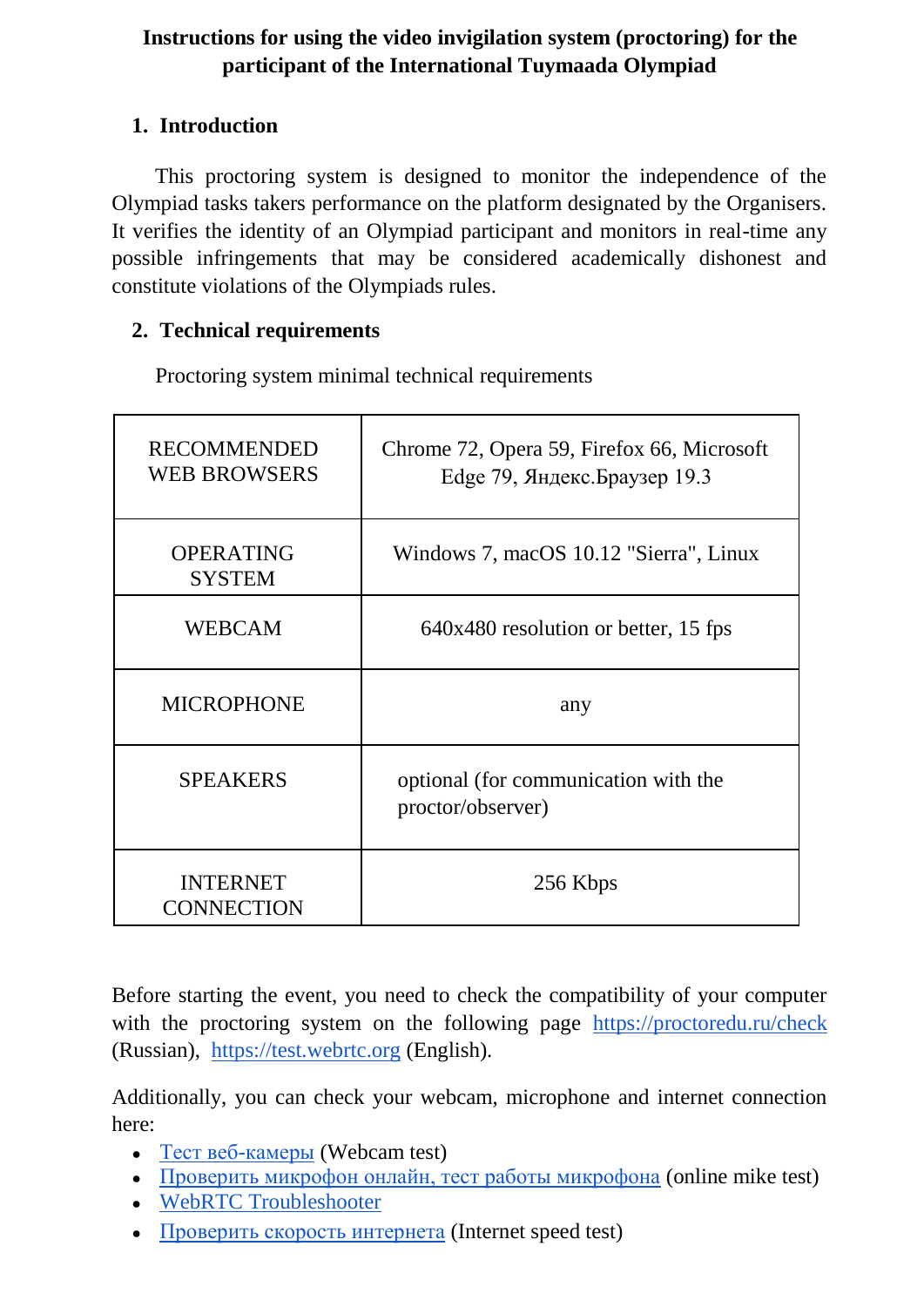## **Instructions for using the video invigilation system (proctoring) for the participant of the International Tuymaada Olympiad**

### **1. Introduction**

This proctoring system is designed to monitor the independence of the Olympiad tasks takers performance on the platform designated by the Organisers. It verifies the identity of an Olympiad participant and monitors in real-time any possible infringements that may be considered academically dishonest and constitute violations of the Olympiads rules.

### **2. Technical requirements**

Proctoring system minimal technical requirements

| <b>RECOMMENDED</b><br><b>WEB BROWSERS</b> | Chrome 72, Opera 59, Firefox 66, Microsoft<br>Edge 79, Яндекс. Браузер 19.3 |
|-------------------------------------------|-----------------------------------------------------------------------------|
| <b>OPERATING</b><br><b>SYSTEM</b>         | Windows 7, macOS 10.12 "Sierra", Linux                                      |
| <b>WEBCAM</b>                             | 640x480 resolution or better, 15 fps                                        |
| <b>MICROPHONE</b>                         | any                                                                         |
| <b>SPEAKERS</b>                           | optional (for communication with the<br>proctor/observer)                   |
| <b>INTERNET</b><br><b>CONNECTION</b>      | 256 Kbps                                                                    |

Before starting the event, you need to check the compatibility of your computer with the proctoring system on the following page <https://proctoredu.ru/check> (Russian), [https://test.webrtc.org](https://test.webrtc.org/) (English).

Additionally, you can check your webcam, microphone and internet connection here:

- $\bullet$  Тест [веб-камеры](https://ru.webcamtests.com/) (Webcam test)
- [Проверить микрофон онлайн, тест работы микрофона](https://webcammictest.com/ru/check-microphone.html) (online mike test)
- [WebRTC Troubleshooter](https://test.webrtc.org/)
- [Проверить скорость интернета](https://yandex.ru/internet/) (Internet speed test)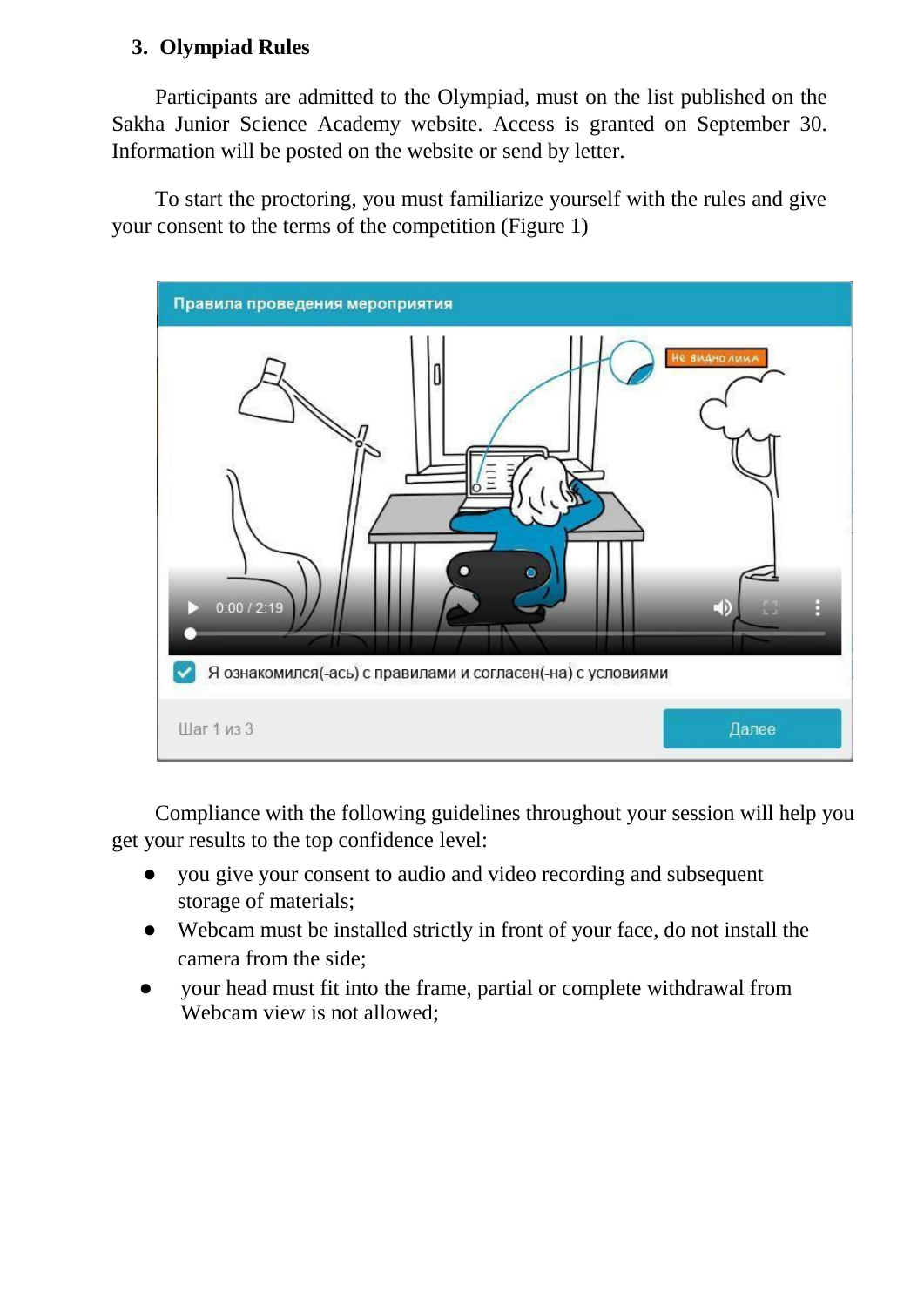## **3. Olympiad Rules**

Participants are admitted to the Olympiad, must on the list published on the Sakha Junior Science Academy website. Access is granted on September 30. Information will be posted on the website or send by letter.

To start the proctoring, you must familiarize yourself with the rules and give your consent to the terms of the competition (Figure 1)



Compliance with the following guidelines throughout your session will help you get your results to the top confidence level:

- you give your consent to audio and video recording and subsequent storage of materials;
- Webcam must be installed strictly in front of your face, do not install the camera from the side;
- your head must fit into the frame, partial or complete withdrawal from Webcam view is not allowed;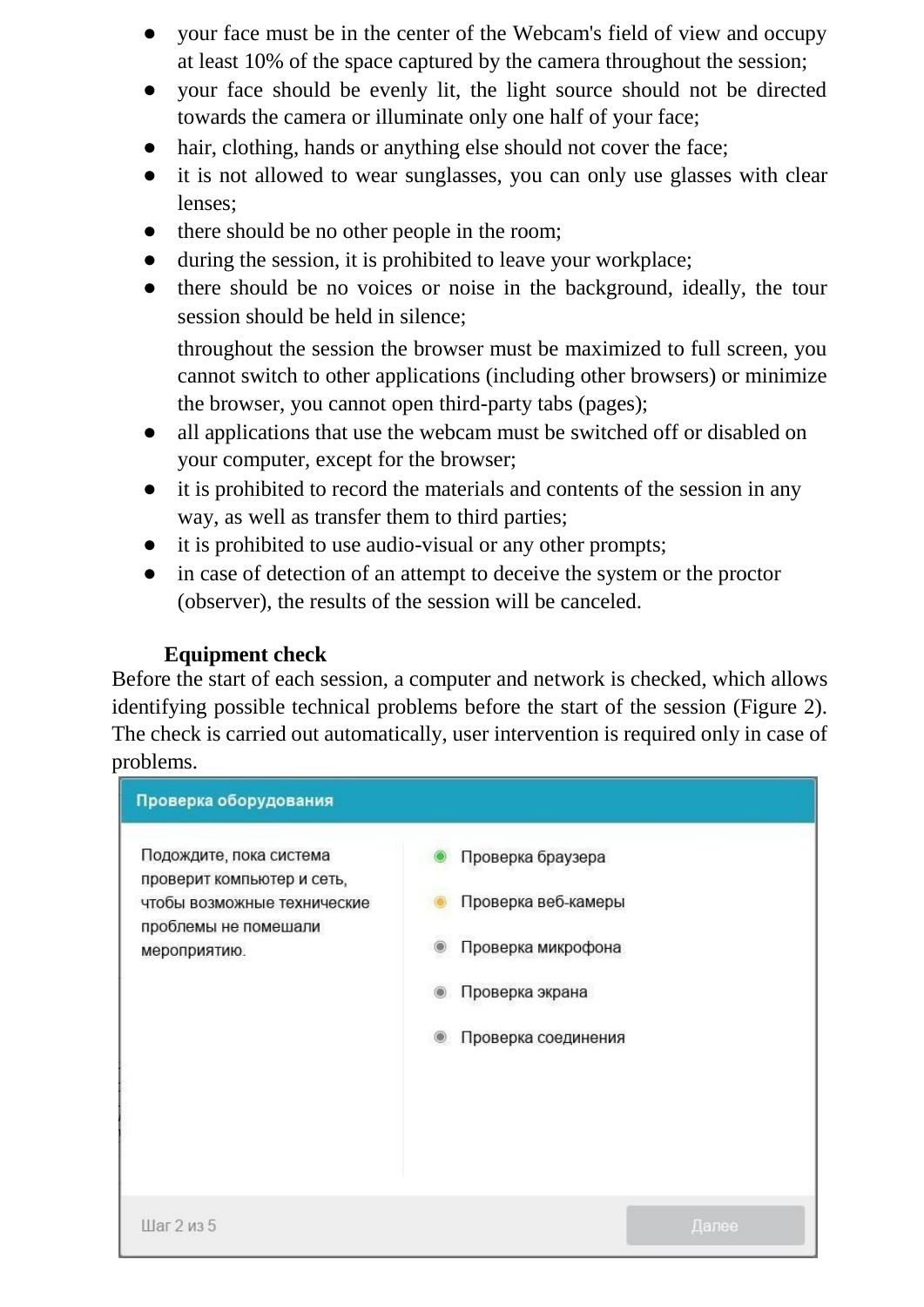- your face must be in the center of the Webcam's field of view and occupy at least 10% of the space captured by the camera throughout the session;
- your face should be evenly lit, the light source should not be directed towards the camera or illuminate only one half of your face;
- hair, clothing, hands or anything else should not cover the face;
- it is not allowed to wear sunglasses, you can only use glasses with clear lenses;
- there should be no other people in the room;
- during the session, it is prohibited to leave your workplace;
- there should be no voices or noise in the background, ideally, the tour session should be held in silence;

throughout the session the browser must be maximized to full screen, you cannot switch to other applications (including other browsers) or minimize the browser, you cannot open third-party tabs (pages);

- all applications that use the webcam must be switched off or disabled on your computer, except for the browser;
- it is prohibited to record the materials and contents of the session in any way, as well as transfer them to third parties;
- it is prohibited to use audio-visual or any other prompts;
- in case of detection of an attempt to deceive the system or the proctor (observer), the results of the session will be canceled.

#### **Equipment check**

Before the start of each session, a computer and network is checked, which allows identifying possible technical problems before the start of the session (Figure 2). The check is carried out automatically, user intervention is required only in case of problems.

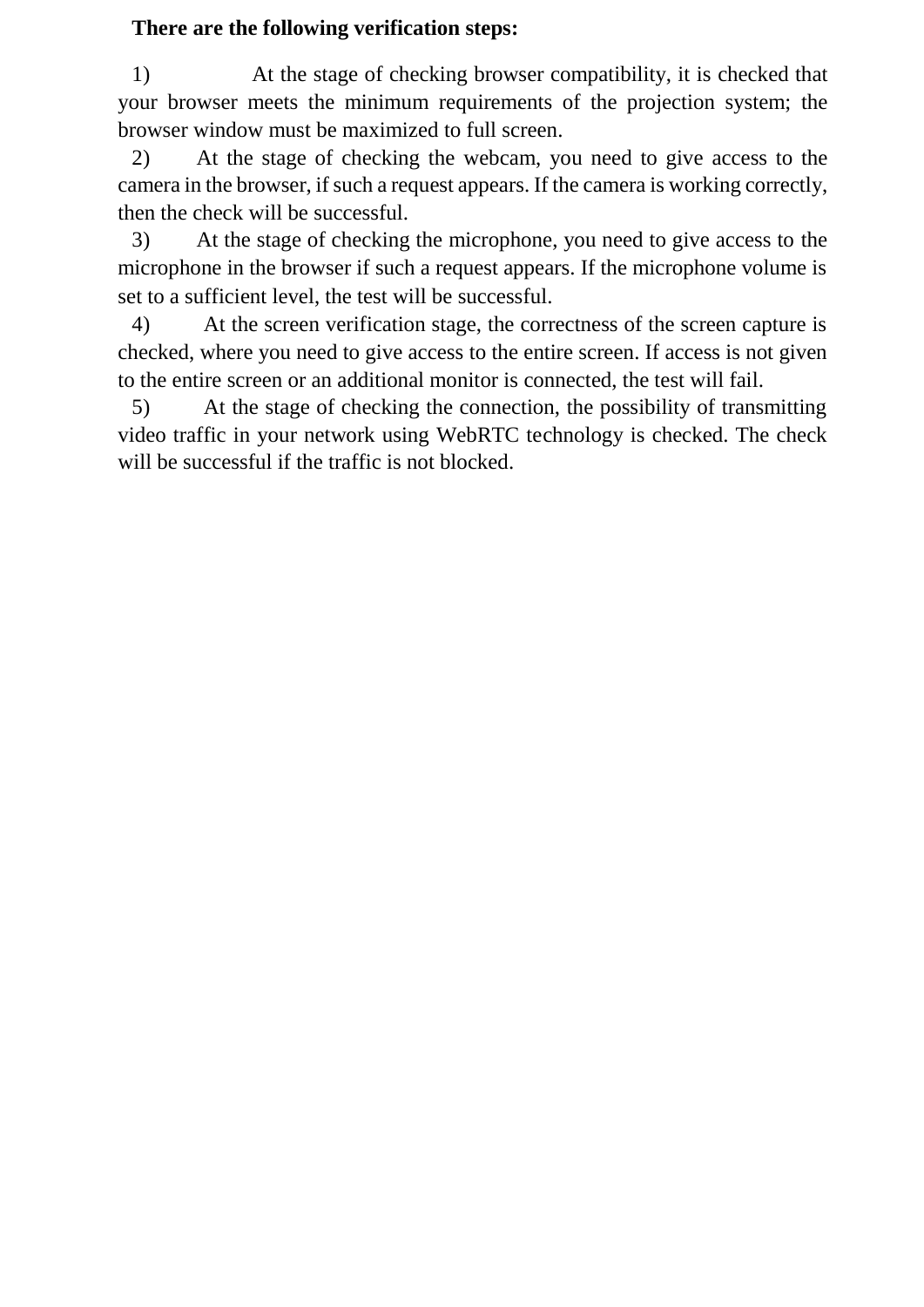### **There are the following verification steps:**

1) At the stage of checking browser compatibility, it is checked that your browser meets the minimum requirements of the projection system; the browser window must be maximized to full screen.

2) At the stage of checking the webcam, you need to give access to the camera in the browser, if such a request appears. If the camera is working correctly, then the check will be successful.

3) At the stage of checking the microphone, you need to give access to the microphone in the browser if such a request appears. If the microphone volume is set to a sufficient level, the test will be successful.

4) At the screen verification stage, the correctness of the screen capture is checked, where you need to give access to the entire screen. If access is not given to the entire screen or an additional monitor is connected, the test will fail.

5) At the stage of checking the connection, the possibility of transmitting video traffic in your network using WebRTC technology is checked. The check will be successful if the traffic is not blocked.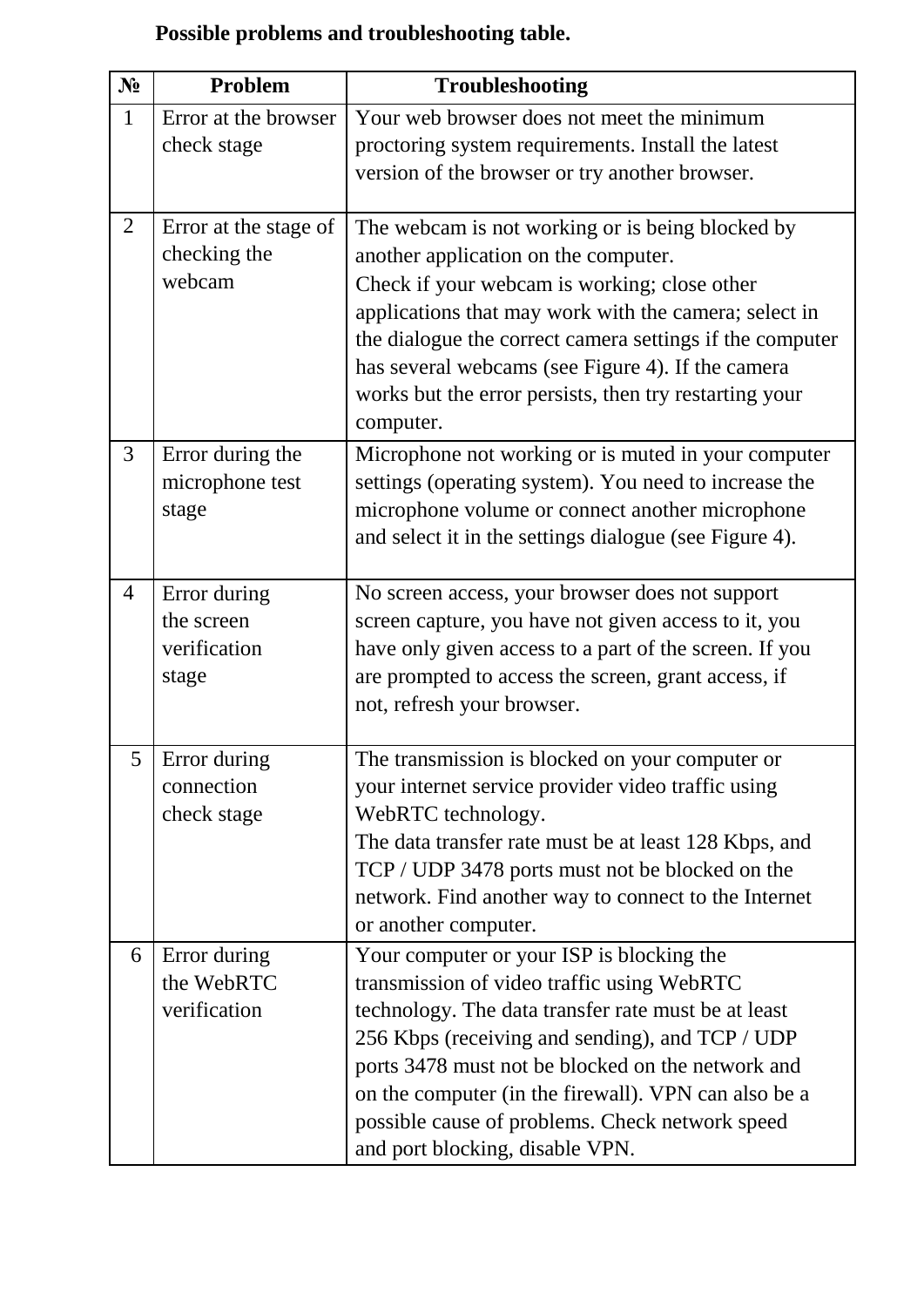|  |  |  | Possible problems and troubleshooting table. |  |
|--|--|--|----------------------------------------------|--|
|--|--|--|----------------------------------------------|--|

| $N_2$          | Problem                                             | <b>Troubleshooting</b>                                                                                                                                                                                                                                                                                                                                                                               |
|----------------|-----------------------------------------------------|------------------------------------------------------------------------------------------------------------------------------------------------------------------------------------------------------------------------------------------------------------------------------------------------------------------------------------------------------------------------------------------------------|
| $\mathbf{1}$   | Error at the browser                                | Your web browser does not meet the minimum                                                                                                                                                                                                                                                                                                                                                           |
|                | check stage                                         | proctoring system requirements. Install the latest                                                                                                                                                                                                                                                                                                                                                   |
|                |                                                     | version of the browser or try another browser.                                                                                                                                                                                                                                                                                                                                                       |
| $\overline{2}$ | Error at the stage of<br>checking the<br>webcam     | The webcam is not working or is being blocked by<br>another application on the computer.<br>Check if your webcam is working; close other<br>applications that may work with the camera; select in<br>the dialogue the correct camera settings if the computer<br>has several webcams (see Figure 4). If the camera<br>works but the error persists, then try restarting your<br>computer.            |
| 3              | Error during the<br>microphone test<br>stage        | Microphone not working or is muted in your computer<br>settings (operating system). You need to increase the<br>microphone volume or connect another microphone<br>and select it in the settings dialogue (see Figure 4).                                                                                                                                                                            |
| $\overline{4}$ | Error during<br>the screen<br>verification<br>stage | No screen access, your browser does not support<br>screen capture, you have not given access to it, you<br>have only given access to a part of the screen. If you<br>are prompted to access the screen, grant access, if<br>not, refresh your browser.                                                                                                                                               |
| 5              | Error during<br>connection<br>check stage           | The transmission is blocked on your computer or<br>your internet service provider video traffic using<br>WebRTC technology.<br>The data transfer rate must be at least 128 Kbps, and<br>TCP / UDP 3478 ports must not be blocked on the<br>network. Find another way to connect to the Internet<br>or another computer.                                                                              |
| 6              | Error during<br>the WebRTC<br>verification          | Your computer or your ISP is blocking the<br>transmission of video traffic using WebRTC<br>technology. The data transfer rate must be at least<br>256 Kbps (receiving and sending), and TCP / UDP<br>ports 3478 must not be blocked on the network and<br>on the computer (in the firewall). VPN can also be a<br>possible cause of problems. Check network speed<br>and port blocking, disable VPN. |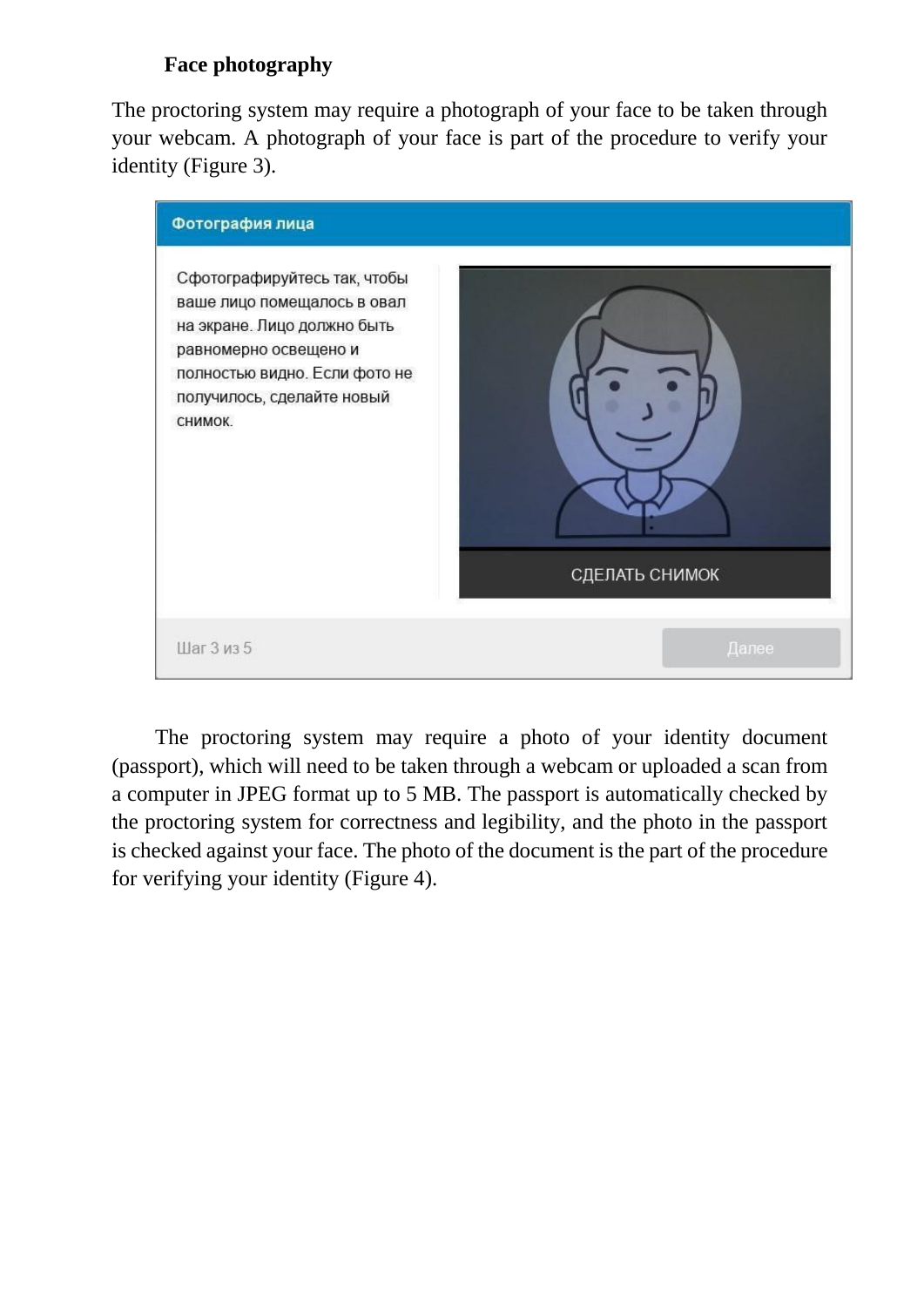# **Face photography**

The proctoring system may require a photograph of your face to be taken through your webcam. A photograph of your face is part of the procedure to verify your identity (Figure 3).



The proctoring system may require a photo of your identity document (passport), which will need to be taken through a webcam or uploaded a scan from a computer in JPEG format up to 5 MB. The passport is automatically checked by the proctoring system for correctness and legibility, and the photo in the passport is checked against your face. The photo of the document is the part of the procedure for verifying your identity (Figure 4).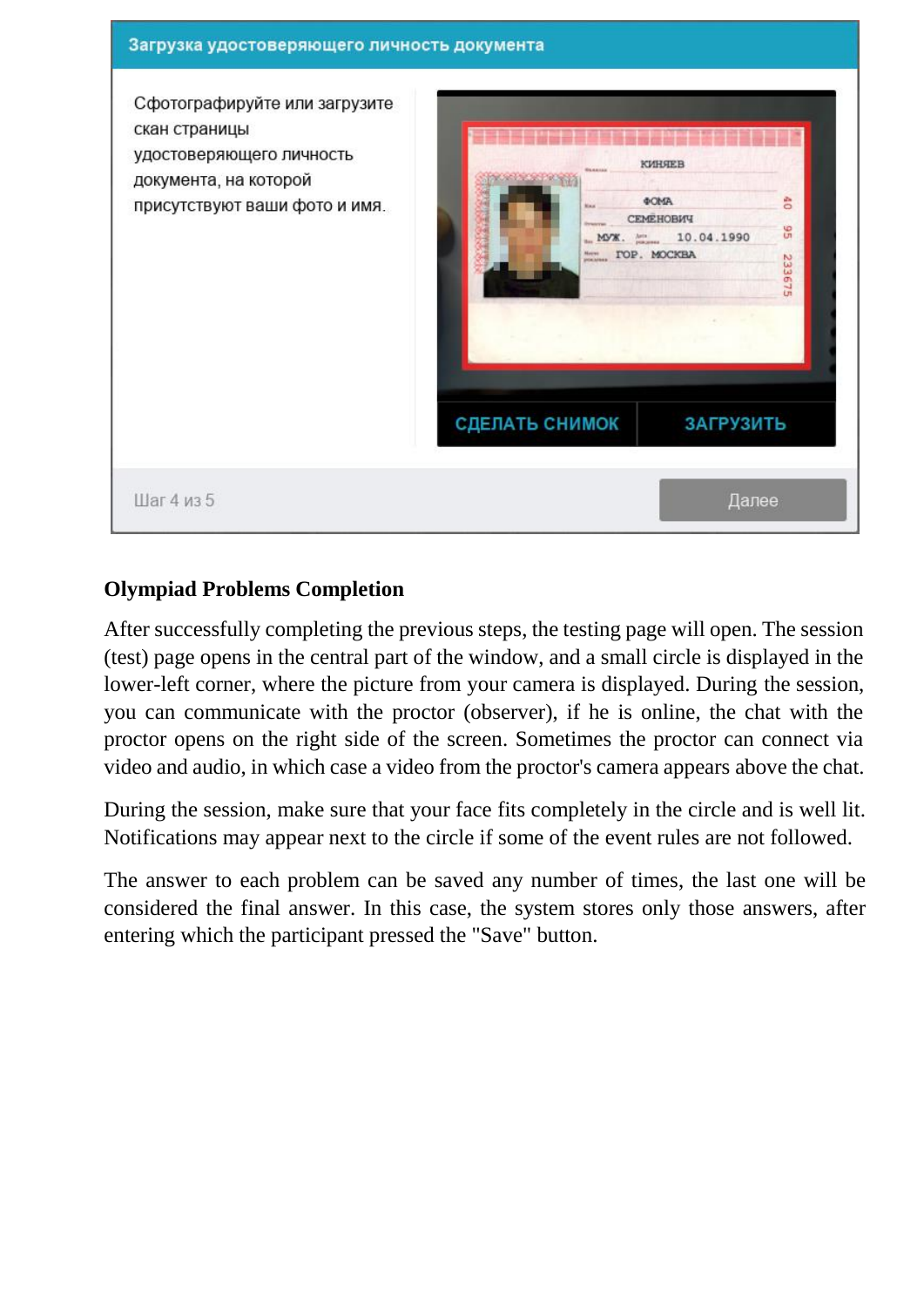

# **Olympiad Problems Completion**

After successfully completing the previous steps, the testing page will open. The session (test) page opens in the central part of the window, and a small circle is displayed in the lower-left corner, where the picture from your camera is displayed. During the session, you can communicate with the proctor (observer), if he is online, the chat with the proctor opens on the right side of the screen. Sometimes the proctor can connect via video and audio, in which case a video from the proctor's camera appears above the chat.

During the session, make sure that your face fits completely in the circle and is well lit. Notifications may appear next to the circle if some of the event rules are not followed.

The answer to each problem can be saved any number of times, the last one will be considered the final answer. In this case, the system stores only those answers, after entering which the participant pressed the "Save" button.